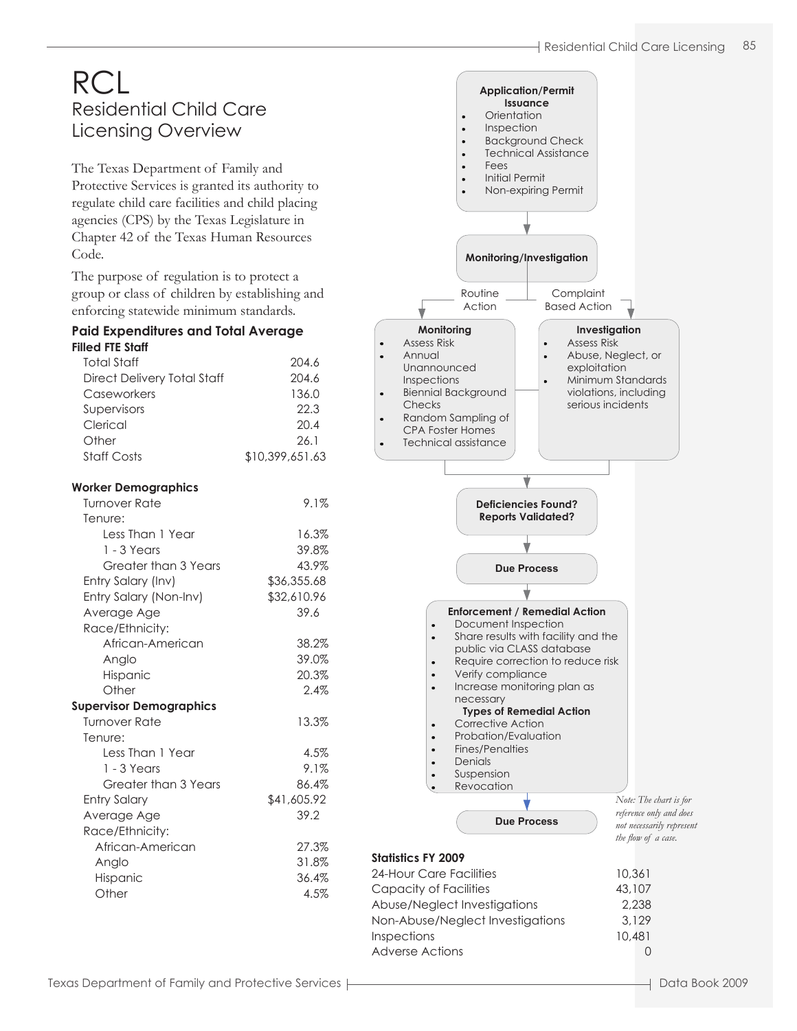## RCL Residential Child Care Licensing Overview

The Texas Department of Family and Protective Services is granted its authority to regulate child care facilities and child placing agencies (CPS) by the Texas Legislature in Chapter 42 of the Texas Human Resources Code.

The purpose of regulation is to protect a group or class of children by establishing and enforcing statewide minimum standards.

#### **Paid Expenditures and Total Average Filled FTE Staff**

| Filled FIE Statt            |                 |
|-----------------------------|-----------------|
| Total Staff                 | 204.6           |
| Direct Delivery Total Staff | 204.6           |
| Caseworkers                 | 136.0           |
| Supervisors                 | 22.3            |
| Clerical                    | 20.4            |
| Other                       | 26.1            |
| Staff Costs                 | \$10,399,651.63 |
| <b>Worker Demographics</b>  |                 |
| Turnover Rate               | 9.1%            |
| Tenure:                     |                 |

| Tenure:                        |             |
|--------------------------------|-------------|
| Less Than 1 Year               | 16.3%       |
| $1 - 3$ Years                  | 39.8%       |
| Greater than 3 Years           | 43.9%       |
| Entry Salary (Inv)             | \$36,355.68 |
| Entry Salary (Non-Inv)         | \$32,610.96 |
| Average Age                    | 39.6        |
| Race/Ethnicity:                |             |
| African-American               | 38.2%       |
| Anglo                          | 39.0%       |
| Hispanic                       | 20.3%       |
| Other                          | 2.4%        |
| <b>Supervisor Demographics</b> |             |
| Turnover Rate                  | 13.3%       |
| Tenure:                        |             |
| Less Than 1 Year               | 4.5%        |
| $1 - 3$ Years                  | 9.1%        |
| Greater than 3 Years           | 86.4%       |
| <b>Entry Salary</b>            | \$41,605.92 |
| Average Age                    | 39.2        |
| Race/Ethnicity:                |             |
| African-American               | 27.3%       |
| Anglo                          | 31.8%       |
| Hispanic                       | 36.4%       |
| Other                          | 4.5%        |
|                                |             |

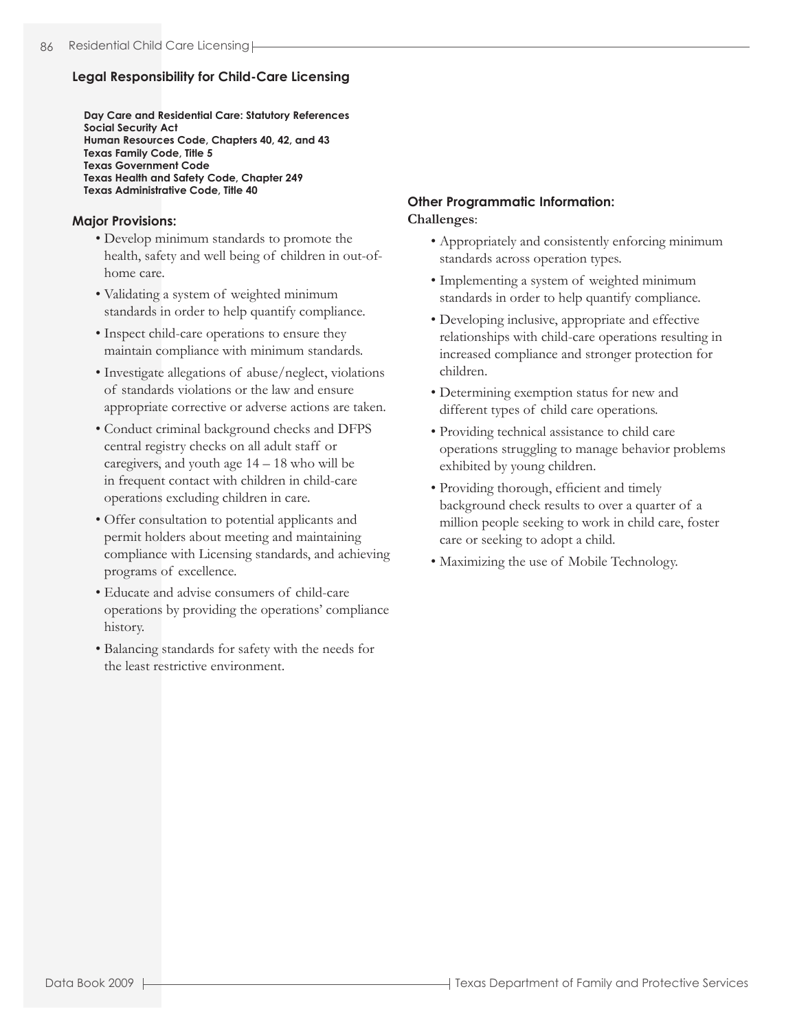## **Legal Responsibility for Child-Care Licensing**

**Day Care and Residential Care: Statutory References Social Security Act Human Resources Code, Chapters 40, 42, and 43 Texas Family Code, Title 5 Texas Government Code Texas Health and Safety Code, Chapter 249 Texas Administrative Code, Title 40**

## **Major Provisions:**

- Develop minimum standards to promote the health, safety and well being of children in out-ofhome care.
- Validating a system of weighted minimum standards in order to help quantify compliance.
- Inspect child-care operations to ensure they maintain compliance with minimum standards.
- Investigate allegations of abuse/neglect, violations of standards violations or the law and ensure appropriate corrective or adverse actions are taken.
- Conduct criminal background checks and DFPS central registry checks on all adult staff or caregivers, and youth age 14 – 18 who will be in frequent contact with children in child-care operations excluding children in care.
- Offer consultation to potential applicants and permit holders about meeting and maintaining compliance with Licensing standards, and achieving programs of excellence.
- Educate and advise consumers of child-care operations by providing the operations' compliance history.
- Balancing standards for safety with the needs for the least restrictive environment.

## **Other Programmatic Information: Challenges**:

- Appropriately and consistently enforcing minimum standards across operation types.
- Implementing a system of weighted minimum standards in order to help quantify compliance.
- Developing inclusive, appropriate and effective relationships with child-care operations resulting in increased compliance and stronger protection for children.
- Determining exemption status for new and different types of child care operations.
- Providing technical assistance to child care operations struggling to manage behavior problems exhibited by young children.
- Providing thorough, efficient and timely background check results to over a quarter of a million people seeking to work in child care, foster care or seeking to adopt a child.
- Maximizing the use of Mobile Technology.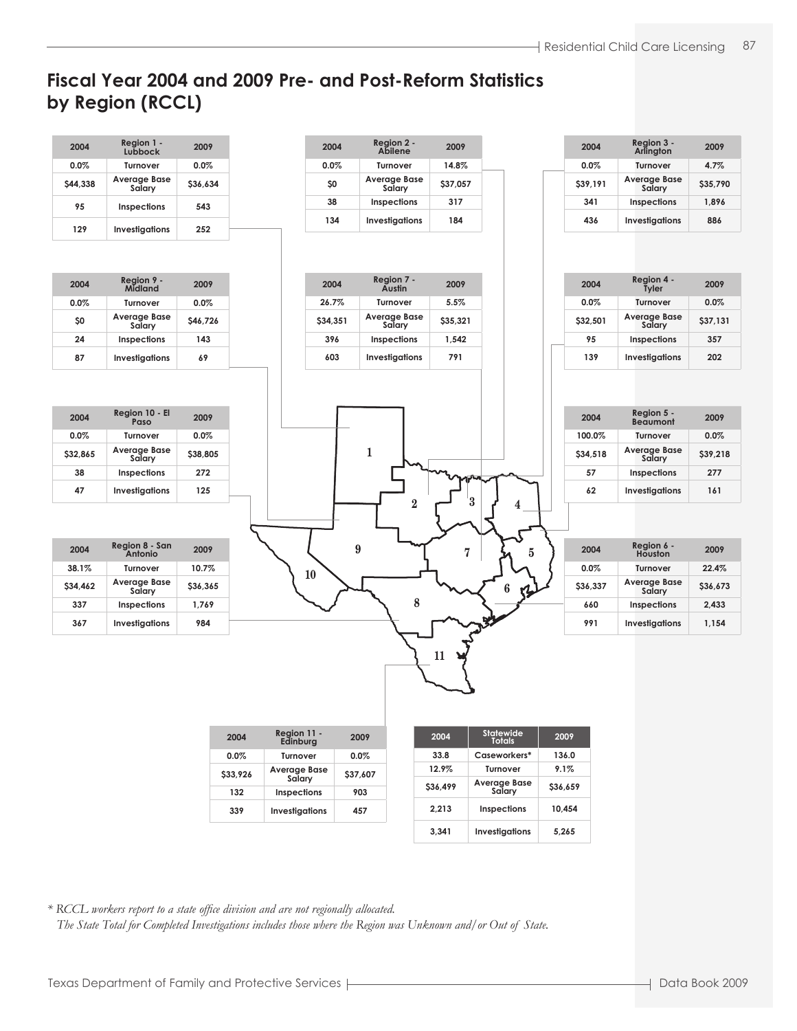## **Fiscal Year 2004 and 2009 Pre- and Post-Reform Statistics by Region (RCCL)**

| 2004     | Region 1 -<br>Lubbock           | 2009     |              |                                                            | 2004     | Region 2 -<br>Abilene         | 2009                        |                                                 |                       | 2004     | Region 3 -<br>Arlington         | 2009     |
|----------|---------------------------------|----------|--------------|------------------------------------------------------------|----------|-------------------------------|-----------------------------|-------------------------------------------------|-----------------------|----------|---------------------------------|----------|
| 0.0%     | Turnover                        | 0.0%     |              |                                                            | 0.0%     | Turnover                      | 14.8%                       |                                                 |                       | 0.0%     | Turnover                        | 4.7%     |
| \$44,338 | <b>Average Base</b><br>Salary   | \$36,634 |              |                                                            | \$0      | <b>Average Base</b><br>Salary | \$37,057                    |                                                 |                       | \$39,191 | <b>Average Base</b><br>Salary   | \$35,790 |
| 95       | Inspections                     | 543      |              |                                                            | 38       | Inspections                   | 317                         |                                                 |                       | 341      | <b>Inspections</b>              | 1,896    |
| 129      | Investigations                  | 252      |              |                                                            | 134      | Investigations                | 184                         |                                                 |                       | 436      | Investigations                  | 886      |
|          |                                 |          |              |                                                            |          |                               |                             |                                                 |                       |          |                                 |          |
| 2004     | Region 9 -<br>Midland           | 2009     |              |                                                            | 2004     | Region 7 -<br>Austin          | 2009                        |                                                 |                       | 2004     | Region 4 -<br><b>Tyler</b>      | 2009     |
| 0.0%     | Turnover                        | 0.0%     |              |                                                            | 26.7%    | Turnover                      | 5.5%                        |                                                 |                       | 0.0%     | Turnover                        | 0.0%     |
| \$0      | <b>Average Base</b><br>Salary   | \$46,726 |              |                                                            | \$34,351 | <b>Average Base</b><br>Salary | \$35,321                    |                                                 |                       | \$32,501 | <b>Average Base</b><br>Salary   | \$37,131 |
| 24       | Inspections                     | 143      |              |                                                            | 396      | Inspections                   | 1,542                       |                                                 |                       | 95       | <b>Inspections</b>              | 357      |
| 87       | Investigations                  | 69       |              |                                                            | 603      | Investigations                | 791                         |                                                 |                       | 139      | Investigations                  | 202      |
| 2004     | Region 10 - El                  |          |              |                                                            |          |                               |                             |                                                 |                       |          | Region 5 -                      | 2009     |
|          | Paso                            | 2009     |              |                                                            |          |                               |                             |                                                 |                       | 2004     | Beaumont                        |          |
| 0.0%     | Turnover<br><b>Average Base</b> | 0.0%     |              |                                                            |          |                               |                             |                                                 |                       | 100.0%   | Turnover<br><b>Average Base</b> | 0.0%     |
| \$32,865 | Salary                          | \$38,805 |              |                                                            |          | $\mathbf{1}$                  |                             |                                                 |                       | \$34,518 | Salary                          | \$39,218 |
| 38       | Inspections                     | 272      |              |                                                            |          |                               |                             |                                                 |                       | 57       | <b>Inspections</b>              | 277      |
| 47       | Investigations                  | 125      |              |                                                            |          |                               | 3                           |                                                 |                       | 62       | Investigations                  | 161      |
|          |                                 |          |              |                                                            |          | $\overline{2}$                |                             | 4                                               |                       |          |                                 |          |
| 2004     | Region 8 - San<br>Antonio       | 2009     |              |                                                            |          | $\boldsymbol{9}$              | $\overline{7}$              | $\bf{5}$                                        |                       | 2004     | Region 6 -<br>Houston           | 2009     |
| 38.1%    | Turnover                        | 10.7%    |              | 10                                                         |          |                               |                             |                                                 |                       | 0.0%     | Turnover                        | 22.4%    |
| \$34,462 | <b>Average Base</b><br>Salary   | \$36,365 |              |                                                            |          |                               |                             | 6                                               |                       | \$36,337 | <b>Average Base</b><br>Salary   | \$36,673 |
| 337      | Inspections                     | 1,769    |              |                                                            |          | 8                             |                             |                                                 |                       | 660      | Inspections                     | 2,433    |
| 367      | Investigations                  | 984      |              |                                                            |          |                               |                             |                                                 |                       | 991      | Investigations                  | 1,154    |
|          |                                 |          | 2004<br>0.0% | Region 11 -<br>Edinburg<br>Turnover<br><b>Average Base</b> |          | 2009<br>0.0%                  | 11<br>2004<br>33.8<br>12.9% | Statewide<br>Totals<br>Caseworkers*<br>Turnover | 2009<br>136.0<br>9.1% |          |                                 |          |
|          |                                 |          | \$33,926     | Salary                                                     |          | \$37,607                      |                             | Average Dese                                    |                       |          |                                 |          |

**\$36,499 Average Base Salary \$36,659 2,213 Inspections 10,454 3,341 Investigations 5,265**

*\* RCCL workers report to a state office division and are not regionally allocated. The State Total for Completed Investigations includes those where the Region was Unknown and/or Out of State.*

**132 Inspections 903 339 Investigations 457**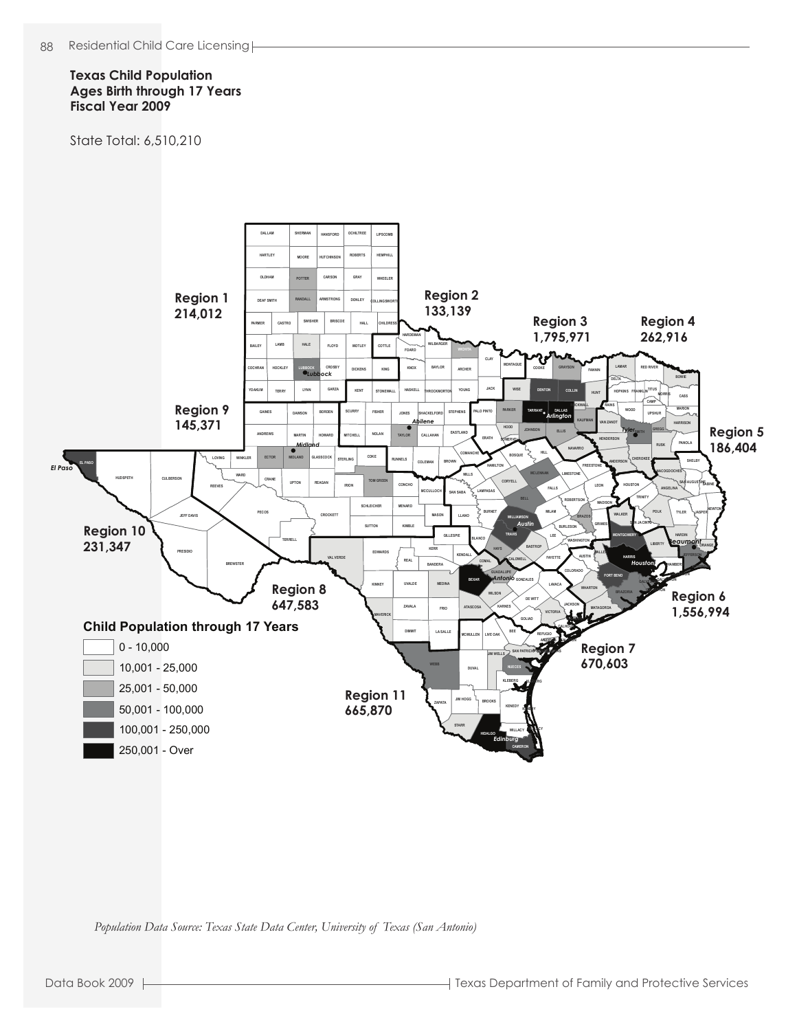#### **Texas Child Population Ages Birth through 17 Years Fiscal Year 2009**

State Total: 6,510,210



*Population Data Source: Texas State Data Center, University of Texas (San Antonio)*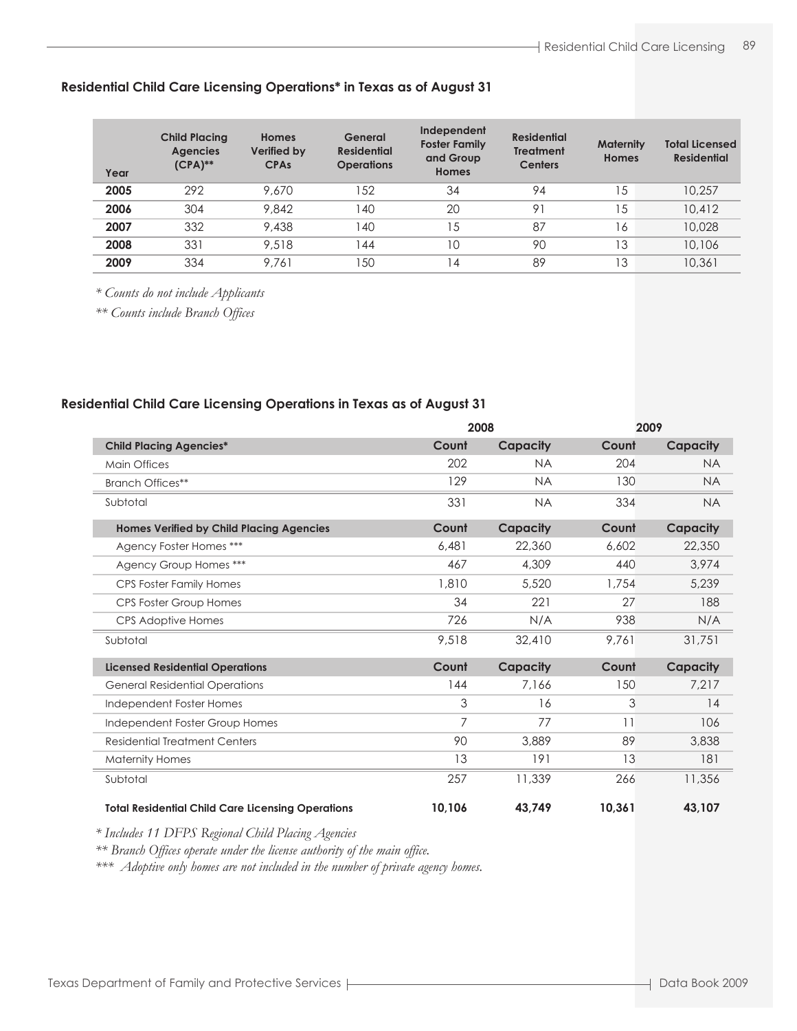| Year | <b>Child Placing</b><br><b>Agencies</b><br>$(CPA)**$ | <b>Homes</b><br>Verified by<br><b>CPAs</b> | General<br><b>Residential</b><br><b>Operations</b> | Independent<br><b>Foster Family</b><br>and Group<br><b>Homes</b> | <b>Residential</b><br><b>Treatment</b><br><b>Centers</b> | <b>Maternity</b><br><b>Homes</b> | <b>Total Licensed</b><br><b>Residential</b> |
|------|------------------------------------------------------|--------------------------------------------|----------------------------------------------------|------------------------------------------------------------------|----------------------------------------------------------|----------------------------------|---------------------------------------------|
| 2005 | 292                                                  | 9,670                                      | 152                                                | 34                                                               | 94                                                       | 5                                | 10.257                                      |
| 2006 | 304                                                  | 9.842                                      | 140                                                | 20                                                               | 91                                                       | 5                                | 10,412                                      |
| 2007 | 332                                                  | 9,438                                      | 140                                                | 15                                                               | 87                                                       | 16                               | 10,028                                      |
| 2008 | 331                                                  | 9.518                                      | 44                                                 | 10                                                               | 90                                                       | 13                               | 10,106                                      |
| 2009 | 334                                                  | 9.761                                      | 50                                                 | 4                                                                | 89                                                       | 13                               | 10,361                                      |

## **Residential Child Care Licensing Operations\* in Texas as of August 31**

*\* Counts do not include Applicants*

*\*\* Counts include Branch Offices*

## **Residential Child Care Licensing Operations in Texas as of August 31**

|                                                          | 2008   |                 | 2009   |                 |
|----------------------------------------------------------|--------|-----------------|--------|-----------------|
| <b>Child Placing Agencies*</b>                           | Count  | <b>Capacity</b> | Count  | <b>Capacity</b> |
| <b>Main Offices</b>                                      | 202    | <b>NA</b>       | 204    | <b>NA</b>       |
| Branch Offices**                                         | 129    | <b>NA</b>       | 130    | <b>NA</b>       |
| Subtotal                                                 | 331    | <b>NA</b>       | 334    | <b>NA</b>       |
| <b>Homes Verified by Child Placing Agencies</b>          | Count  | Capacity        | Count  | Capacity        |
| Agency Foster Homes ***                                  | 6,481  | 22,360          | 6,602  | 22,350          |
| Agency Group Homes ***                                   | 467    | 4,309           | 440    | 3,974           |
| <b>CPS Foster Family Homes</b>                           | 1,810  | 5,520           | 1,754  | 5,239           |
| <b>CPS Foster Group Homes</b>                            | 34     | 221             | 27     | 188             |
| <b>CPS Adoptive Homes</b>                                | 726    | N/A             | 938    | N/A             |
| Subtotal                                                 | 9,518  | 32,410          | 9,761  | 31,751          |
| <b>Licensed Residential Operations</b>                   | Count  | <b>Capacity</b> | Count  | <b>Capacity</b> |
| <b>General Residential Operations</b>                    | 144    | 7.166           | 150    | 7.217           |
| Independent Foster Homes                                 | 3      | 16              | 3      | 14              |
| Independent Foster Group Homes                           | 7      | 77              | 11     | 106             |
| <b>Residential Treatment Centers</b>                     | 90     | 3,889           | 89     | 3,838           |
| <b>Maternity Homes</b>                                   | 13     | 191             | 13     | 181             |
| Subtotal                                                 | 257    | 11,339          | 266    | 11,356          |
| <b>Total Residential Child Care Licensing Operations</b> | 10,106 | 43.749          | 10,361 | 43,107          |

*\* Includes 11 DFPS Regional Child Placing Agencies*

*\*\* Branch Offices operate under the license authority of the main office.*

*\*\*\* Adoptive only homes are not included in the number of private agency homes.*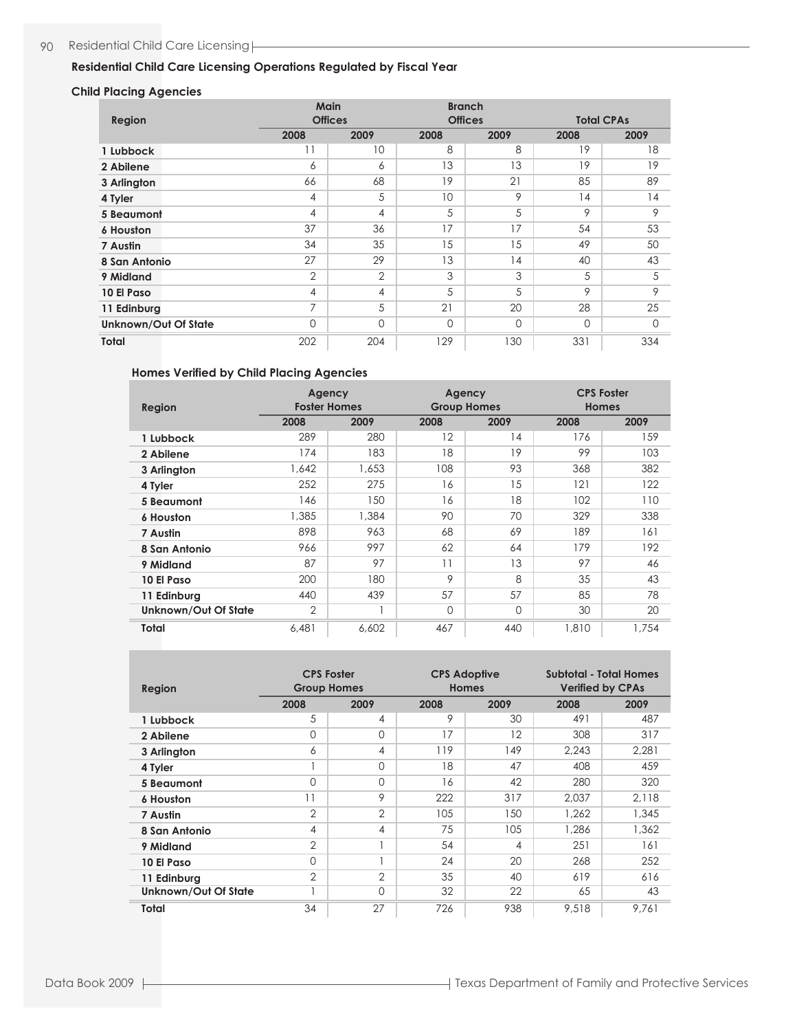### **Residential Child Care Licensing Operations Regulated by Fiscal Year**

#### **Child Placing Agencies**

|                      |                | <b>Main</b>    |      | <b>Branch</b>  |         |                   |
|----------------------|----------------|----------------|------|----------------|---------|-------------------|
| Region               |                | <b>Offices</b> |      | <b>Offices</b> |         | <b>Total CPAs</b> |
|                      | 2008           | 2009           | 2008 | 2009           | 2008    | 2009              |
| 1 Lubbock            | 11             | 10             | 8    | 8              | 19      | 18                |
| 2 Abilene            | 6              | 6              | 13   | 13             | 19      | 19                |
| 3 Arlington          | 66             | 68             | 19   | 21             | 85      | 89                |
| 4 Tyler              | 4              | 5              | 10   | 9              | 14      | 14                |
| 5 Beaumont           | 4              | 4              | 5    | 5              | 9       | 9                 |
| <b>6 Houston</b>     | 37             | 36             | 17   | 17             | 54      | 53                |
| 7 Austin             | 34             | 35             | 15   | 15             | 49      | 50                |
| 8 San Antonio        | 27             | 29             | 13   | 14             | 40      | 43                |
| 9 Midland            | $\overline{2}$ | 2              | 3    | 3              | 5       | 5                 |
| 10 El Paso           | 4              | 4              | 5    | 5              | 9       | 9                 |
| 11 Edinburg          | 7              | 5              | 21   | 20             | 28      | 25                |
| Unknown/Out Of State | 0              | 0              | 0    | $\Omega$       | $\circ$ | $\Omega$          |
| <b>Total</b>         | 202            | 204            | 129  | 130            | 331     | 334               |

## **Homes Verified by Child Placing Agencies**

| Region               |                | Agency<br><b>Foster Homes</b> |                 | Agency<br><b>Group Homes</b> | <b>CPS Foster</b><br><b>Homes</b> |       |  |
|----------------------|----------------|-------------------------------|-----------------|------------------------------|-----------------------------------|-------|--|
|                      | 2008           | 2009                          | 2008            | 2009                         | 2008                              | 2009  |  |
| 1 Lubbock            | 289            | 280                           | 12              | 14                           | 176                               | 159   |  |
| 2 Abilene            | 174            | 183                           | 18              | 19                           | 99                                | 103   |  |
| 3 Arlington          | 1.642          | 1,653                         | 108             | 93                           | 368                               | 382   |  |
| 4 Tyler              | 252            | 275                           | 16              | 15                           | 121                               | 122   |  |
| 5 Beaumont           | 146            | 150                           | 16              | 18                           | 102                               | 110   |  |
| <b>6 Houston</b>     | 1,385          | 1,384                         | 90              | 70                           | 329                               | 338   |  |
| 7 Austin             | 898            | 963                           | 68              | 69                           | 189                               | 161   |  |
| 8 San Antonio        | 966            | 997                           | 62              | 64                           | 179                               | 192   |  |
| 9 Midland            | 87             | 97                            | $\overline{11}$ | 13                           | 97                                | 46    |  |
| 10 El Paso           | 200            | 180                           | 9               | 8                            | 35                                | 43    |  |
| 11 Edinburg          | 440            | 439                           | 57              | 57                           | 85                                | 78    |  |
| Unknown/Out Of State | $\overline{2}$ |                               | $\Omega$        | $\Omega$                     | 30                                | 20    |  |
| Total                | 6.481          | 6.602                         | 467             | 440                          | 1,810                             | 1.754 |  |

| Region               |                | <b>CPS Foster</b><br><b>Group Homes</b> |      | <b>CPS Adoptive</b><br><b>Homes</b> | Subtotal - Total Homes<br><b>Verified by CPAs</b> |       |  |
|----------------------|----------------|-----------------------------------------|------|-------------------------------------|---------------------------------------------------|-------|--|
|                      | 2008           | 2009                                    | 2008 | 2009                                | 2008                                              | 2009  |  |
| 1 Lubbock            | 5              | 4                                       | 9    | 30                                  | 491                                               | 487   |  |
| 2 Abilene            | $\Omega$       | $\Omega$                                | 17   | 12                                  | 308                                               | 317   |  |
| 3 Arlington          | 6              | $\overline{4}$                          | 119  | 149                                 | 2.243                                             | 2.281 |  |
| 4 Tyler              |                | $\Omega$                                | 18   | 47                                  | 408                                               | 459   |  |
| 5 Beaumont           | $\Omega$       | 0                                       | 16   | 42                                  | 280                                               | 320   |  |
| <b>6 Houston</b>     | 11             | 9                                       | 222  | 317                                 | 2.037                                             | 2.118 |  |
| 7 Austin             | $\mathcal{P}$  | $\mathcal{P}$                           | 105  | 150                                 | 1.262                                             | 1.345 |  |
| 8 San Antonio        | 4              | 4                                       | 75   | 105                                 | 1,286                                             | 1,362 |  |
| 9 Midland            | $\overline{2}$ |                                         | 54   | 4                                   | 251                                               | 161   |  |
| 10 El Paso           | $\Omega$       |                                         | 24   | 20                                  | 268                                               | 252   |  |
| 11 Edinburg          | $\overline{2}$ | 2                                       | 35   | 40                                  | 619                                               | 616   |  |
| Unknown/Out Of State |                | 0                                       | 32   | 22                                  | 65                                                | 43    |  |
| Total                | 34             | 27                                      | 726  | 938                                 | 9.518                                             | 9.761 |  |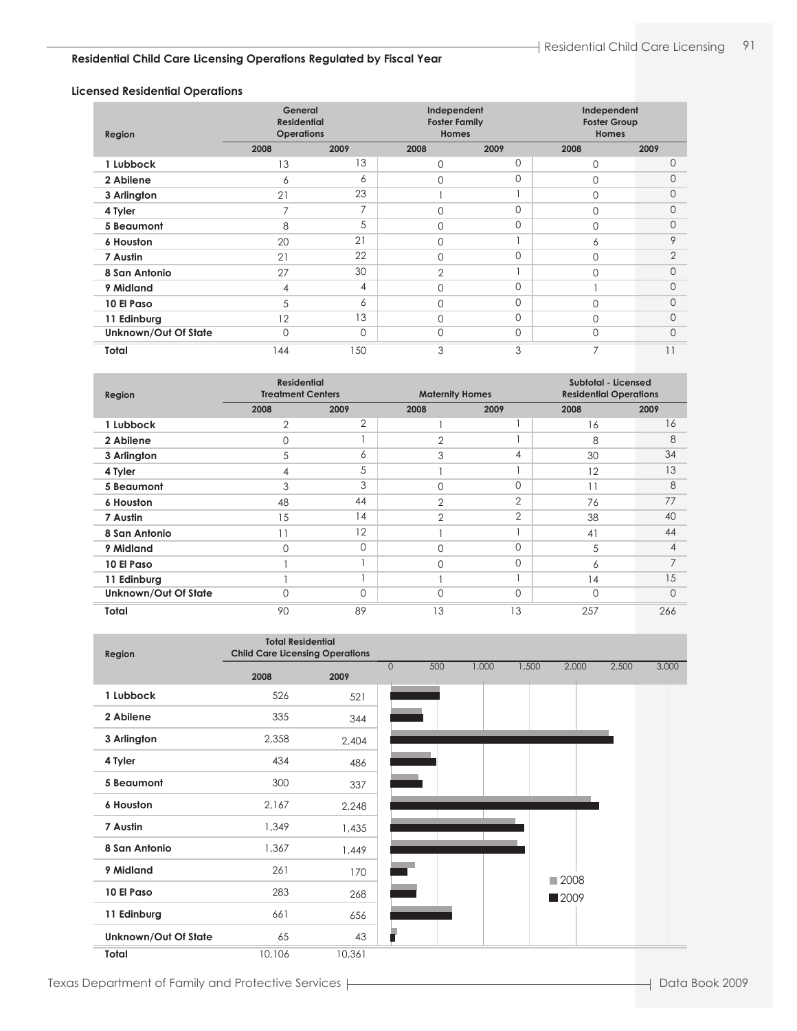#### **Residential Child Care Licensing Operations Regulated by Fiscal Year**

#### **Licensed Residential Operations**

| Region               | General<br><b>Residential</b><br><b>Operations</b> |      | Independent<br><b>Foster Family</b><br><b>Homes</b> |          | Independent<br><b>Foster Group</b><br><b>Homes</b> |                |  |
|----------------------|----------------------------------------------------|------|-----------------------------------------------------|----------|----------------------------------------------------|----------------|--|
|                      | 2008                                               | 2009 | 2008                                                | 2009     | 2008                                               | 2009           |  |
| 1 Lubbock            | 13                                                 | 13   | $\Omega$                                            | $\Omega$ | 0                                                  | $\Omega$       |  |
| 2 Abilene            | 6                                                  | 6    | $\mathbf 0$                                         | 0        | 0                                                  | $\overline{0}$ |  |
| 3 Arlington          | 21                                                 | 23   |                                                     |          | 0                                                  | $\mathbf 0$    |  |
| 4 Tyler              | 7                                                  | 7    | $\Omega$                                            | 0        | 0                                                  | $\Omega$       |  |
| 5 Beaumont           | 8                                                  | 5    | $\Omega$                                            | $\Omega$ | 0                                                  | $\Omega$       |  |
| 6 Houston            | 20                                                 | 21   | $\Omega$                                            |          | 6                                                  | 9              |  |
| 7 Austin             | 21                                                 | 22   | $\Omega$                                            | $\Omega$ | 0                                                  | $\overline{2}$ |  |
| 8 San Antonio        | 27                                                 | 30   | 2                                                   |          | 0                                                  | $\Omega$       |  |
| 9 Midland            | 4                                                  | 4    | $\Omega$                                            | $\Omega$ |                                                    | $\Omega$       |  |
| 10 El Paso           | 5                                                  | 6    | $\Omega$                                            | 0        | 0                                                  | $\overline{0}$ |  |
| 11 Edinburg          | 12                                                 | 13   | $\Omega$                                            | $\Omega$ | 0                                                  | $\Omega$       |  |
| Unknown/Out Of State | 0                                                  | 0    | $\Omega$                                            | 0        | 0                                                  | $\Omega$       |  |
| Total                | 144                                                | 150  | 3                                                   | 3        |                                                    | 11             |  |

| Region               | <b>Residential</b><br><b>Treatment Centers</b> |      | <b>Maternity Homes</b> |                | Subtotal - Licensed<br><b>Residential Operations</b> |      |  |
|----------------------|------------------------------------------------|------|------------------------|----------------|------------------------------------------------------|------|--|
|                      | 2008                                           | 2009 | 2008                   | 2009           | 2008                                                 | 2009 |  |
| 1 Lubbock            | 2                                              | 2    |                        |                | 16                                                   | 16   |  |
| 2 Abilene            | 0                                              |      | 2                      |                | 8                                                    | 8    |  |
| 3 Arlington          | 5                                              | 6    | 3                      | 4              | 30                                                   | 34   |  |
| 4 Tyler              | 4                                              | 5    |                        |                | 12                                                   | 13   |  |
| 5 Beaumont           | 3                                              | 3    | $\Omega$               | $\Omega$       | 11                                                   | 8    |  |
| <b>6 Houston</b>     | 48                                             | 44   | 2                      | 2              | 76                                                   | 77   |  |
| 7 Austin             | 15                                             | 14   | 2                      | $\overline{2}$ | 38                                                   | 40   |  |
| 8 San Antonio        | 11                                             | 12   |                        |                | 41                                                   | 44   |  |
| 9 Midland            | 0                                              | 0    | $\Omega$               | $\Omega$       | 5                                                    | 4    |  |
| 10 El Paso           |                                                |      | $\Omega$               | $\Omega$       | 6                                                    |      |  |
| 11 Edinburg          |                                                |      |                        |                | 14                                                   | 15   |  |
| Unknown/Out Of State | 0                                              | 0    | $\Omega$               | 0              | Ω                                                    |      |  |
| Total                | 90                                             | 89   | 13                     | 13             | 257                                                  | 266  |  |

| Region               |        | <b>Total Residential</b><br><b>Child Care Licensing Operations</b> |              |     |       |       |       |       |
|----------------------|--------|--------------------------------------------------------------------|--------------|-----|-------|-------|-------|-------|
|                      | 2008   | 2009                                                               | $\mathbf{O}$ | 500 | 1,000 | 1,500 | 2,000 | 2,500 |
| 1 Lubbock            | 526    | 521                                                                |              |     |       |       |       |       |
| 2 Abilene            | 335    | 344                                                                |              |     |       |       |       |       |
| 3 Arlington          | 2,358  | 2,404                                                              |              |     |       |       |       |       |
| 4 Tyler              | 434    | 486                                                                |              |     |       |       |       |       |
| 5 Beaumont           | 300    | 337                                                                |              |     |       |       |       |       |
| 6 Houston            | 2,167  | 2,248                                                              |              |     |       |       |       |       |
| 7 Austin             | 1,349  | 1,435                                                              |              |     |       |       |       |       |
| 8 San Antonio        | 1,367  | 1,449                                                              |              |     |       |       |       |       |
| 9 Midland            | 261    | 170                                                                |              |     |       |       | ■2008 |       |
| 10 El Paso           | 283    | 268                                                                |              |     |       |       | ■2009 |       |
| 11 Edinburg          | 661    | 656                                                                |              |     |       |       |       |       |
| Unknown/Out Of State | 65     | 43                                                                 |              |     |       |       |       |       |
| Total                | 10,106 | 10,361                                                             |              |     |       |       |       |       |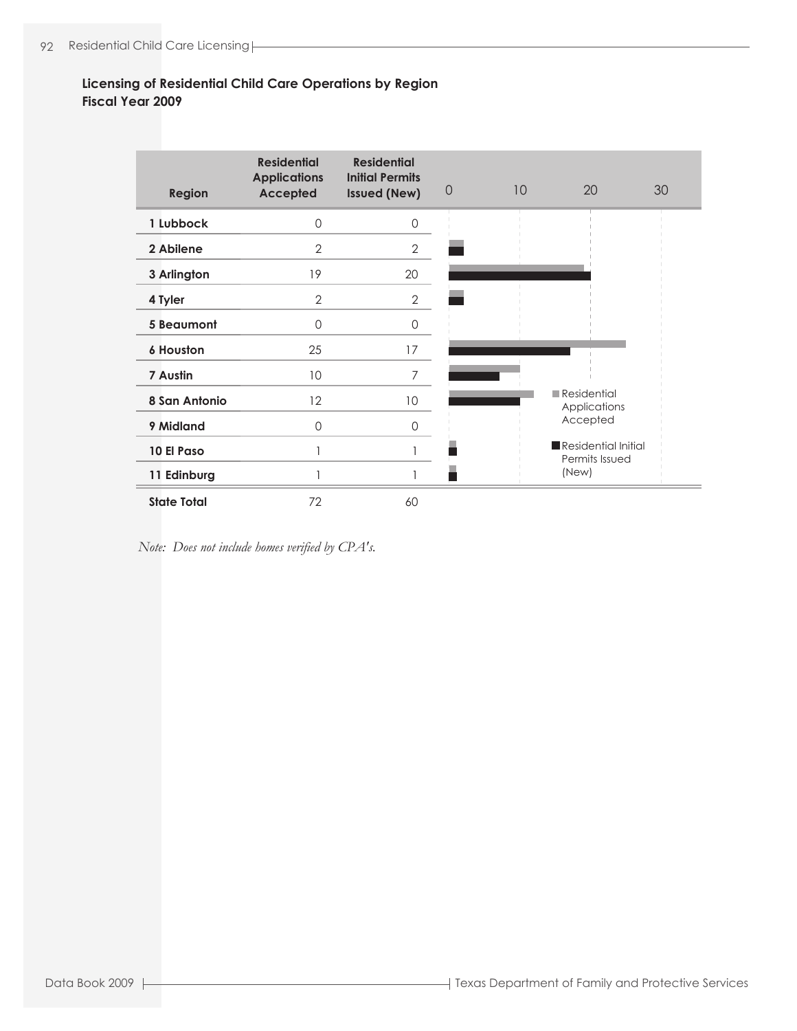## **Licensing of Residential Child Care Operations by Region Fiscal Year 2009**

| <b>Region</b>      | <b>Residential</b><br><b>Applications</b><br><b>Accepted</b> | <b>Residential</b><br><b>Initial Permits</b><br><b>Issued (New)</b> | $\circ$ | 10 | 20                                    | 30 |
|--------------------|--------------------------------------------------------------|---------------------------------------------------------------------|---------|----|---------------------------------------|----|
| 1 Lubbock          | $\mathsf O$                                                  | $\circ$                                                             |         |    |                                       |    |
| 2 Abilene          | $\overline{2}$                                               | $\overline{2}$                                                      |         |    |                                       |    |
| 3 Arlington        | 19                                                           | 20                                                                  |         |    |                                       |    |
| 4 Tyler            | $\overline{2}$                                               | $\overline{2}$                                                      |         |    |                                       |    |
| 5 Beaumont         | $\Omega$                                                     | $\Omega$                                                            |         |    |                                       |    |
| 6 Houston          | 25                                                           | 17                                                                  |         |    |                                       |    |
| 7 Austin           | 10                                                           | 7                                                                   |         |    |                                       |    |
| 8 San Antonio      | 12                                                           | 10                                                                  |         |    | Residential<br>Applications           |    |
| 9 Midland          | 0                                                            | $\Omega$                                                            |         |    | Accepted                              |    |
| 10 El Paso         |                                                              |                                                                     |         |    | Residential Initial<br>Permits Issued |    |
| 11 Edinburg        |                                                              |                                                                     |         |    | (New)                                 |    |
| <b>State Total</b> | 72                                                           | 60                                                                  |         |    |                                       |    |

*Note: Does not include homes verified by CPA's.*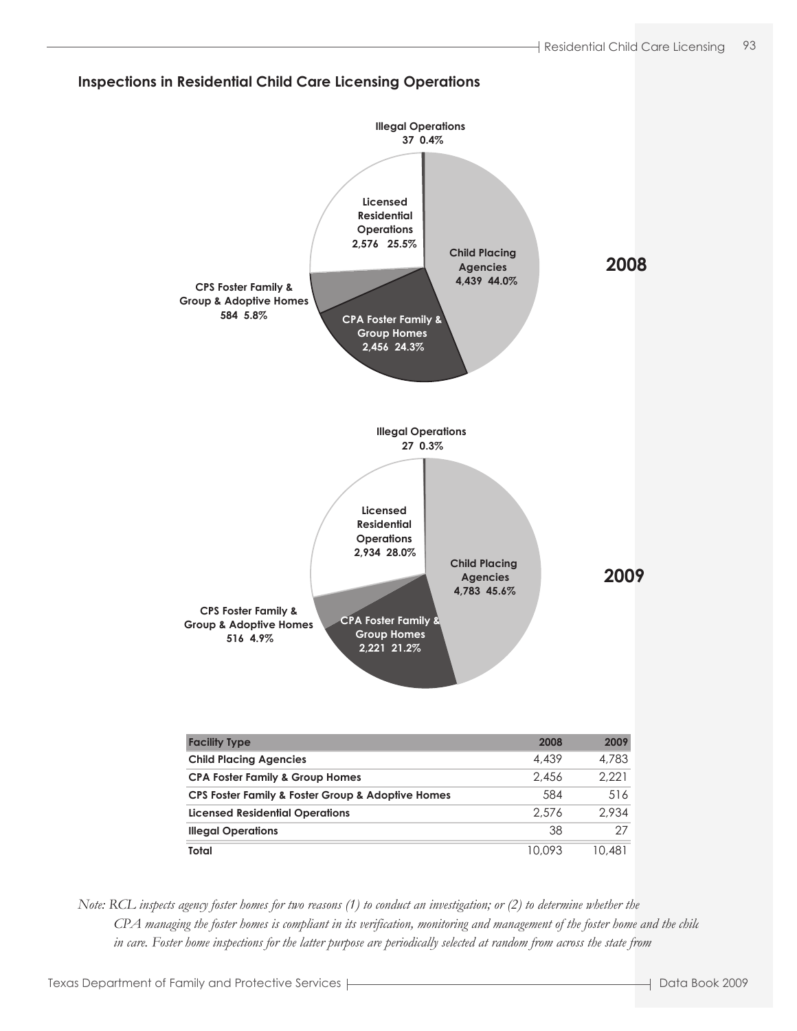

### **Inspections in Residential Child Care Licensing Operations**

*Note: RCL inspects agency foster homes for two reasons (1) to conduct an investigation; or (2) to determine whether the CPA managing the foster homes is compliant in its verification, monitoring and management of the foster home and the child in care. Foster home inspections for the latter purpose are periodically selected at random from across the state from*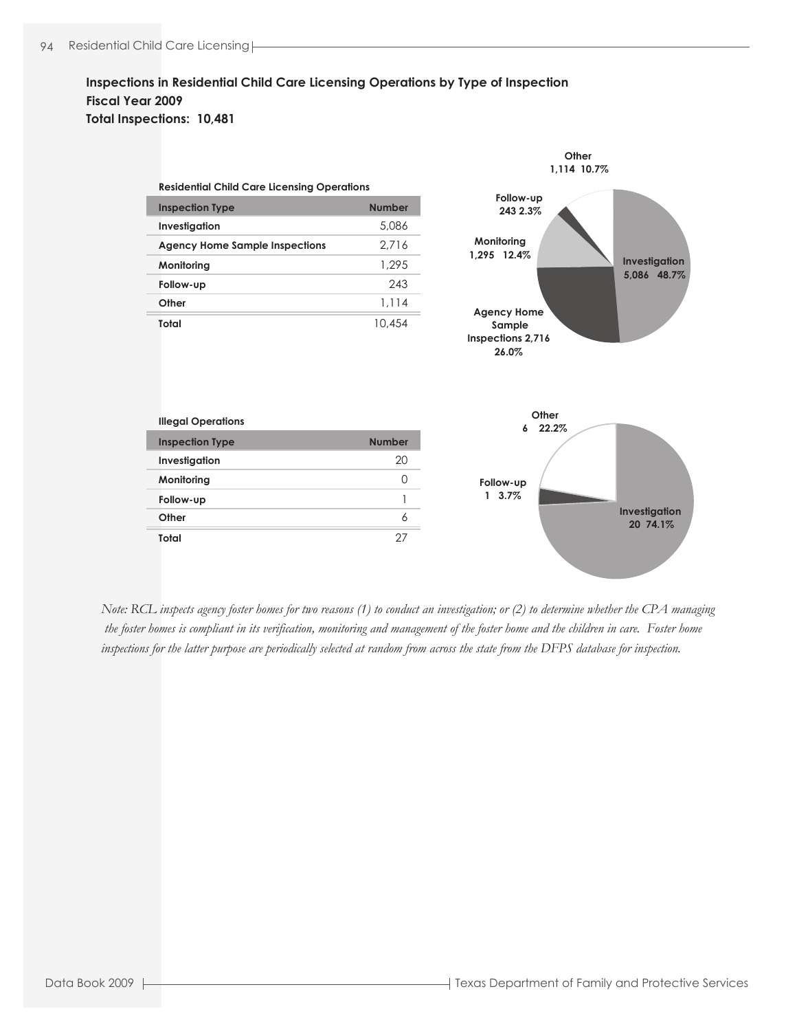## **Inspections in Residential Child Care Licensing Operations by Type of Inspection Inspections 2,716 Fiscal Year 2009 Total Inspections: 10,481**



 *Note: RCL inspects agency foster homes for two reasons (1) to conduct an investigation; or (2) to determine whether the CPA managing the foster homes is compliant in its verification, monitoring and management of the foster home and the children in care. Foster home inspections for the latter purpose are periodically selected at random from across the state from the DFPS database for inspection.*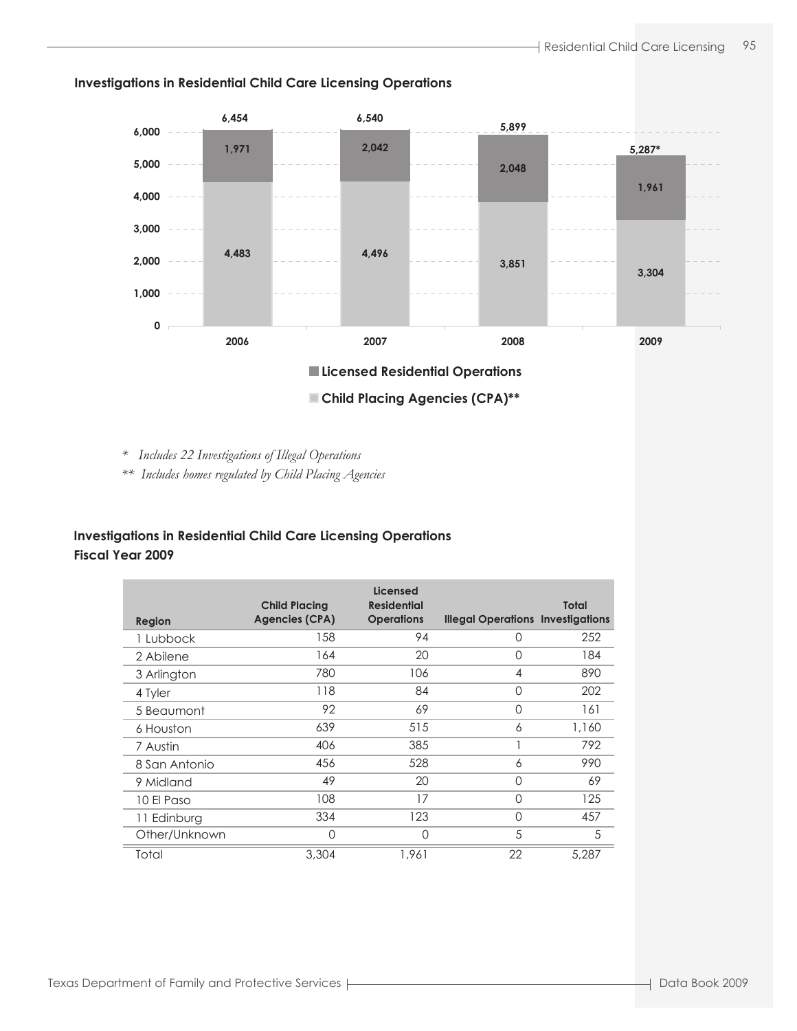

## **Investigations in Residential Child Care Licensing Operations**

*\* Includes 22 Investigations of Illegal Operations*

*\*\* Includes homes regulated by Child Placing Agencies*

## **Investigations in Residential Child Care Licensing Operations Fiscal Year 2009**

| Region        | <b>Child Placing</b><br><b>Agencies (CPA)</b> | Licensed<br><b>Residential</b><br><b>Operations</b> | <b>Illegal Operations Investigations</b> | <b>Total</b> |
|---------------|-----------------------------------------------|-----------------------------------------------------|------------------------------------------|--------------|
| 1 Lubbock     | 158                                           | 94                                                  | ∩                                        | 252          |
| 2 Abilene     | 164                                           | 20                                                  | $\Omega$                                 | 184          |
| 3 Arlington   | 780                                           | 106                                                 | 4                                        | 890          |
| 4 Tyler       | 118                                           | 84                                                  | ∩                                        | 202          |
| 5 Beaumont    | 92                                            | 69                                                  | $\Omega$                                 | 161          |
| 6 Houston     | 639                                           | 515                                                 | 6                                        | 1,160        |
| 7 Austin      | 406                                           | 385                                                 |                                          | 792          |
| 8 San Antonio | 456                                           | 528                                                 | 6                                        | 990          |
| 9 Midland     | 49                                            | 20                                                  | ∩                                        | 69           |
| 10 El Paso    | 108                                           | 17                                                  | $\Omega$                                 | 125          |
| 11 Edinburg   | 334                                           | 123                                                 | O                                        | 457          |
| Other/Unknown | O                                             | 0                                                   | 5                                        | 5            |
| Total         | 3,304                                         | 1.961                                               | 22                                       | 5,287        |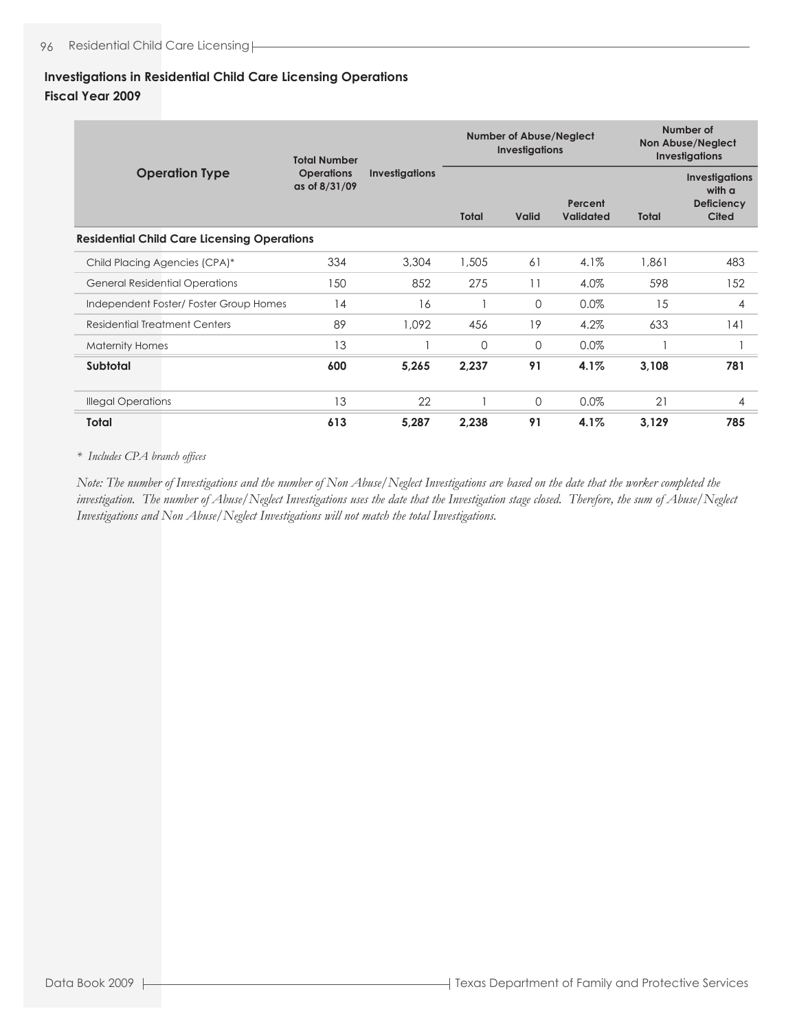## **Investigations in Residential Child Care Licensing Operations Fiscal Year 2009**

|                                                    | <b>Total Number</b><br><b>Operations</b><br>as of 8/31/09 | <b>Investigations</b> | <b>Number of Abuse/Neglect</b><br><b>Investigations</b> |              |                      | Number of<br><b>Non Abuse/Neglect</b><br><b>Investigations</b> |                                                                      |
|----------------------------------------------------|-----------------------------------------------------------|-----------------------|---------------------------------------------------------|--------------|----------------------|----------------------------------------------------------------|----------------------------------------------------------------------|
| <b>Operation Type</b>                              |                                                           |                       | <b>Total</b>                                            | <b>Valid</b> | Percent<br>Validated | <b>Total</b>                                                   | <b>Investigations</b><br>with a<br><b>Deficiency</b><br><b>Cited</b> |
| <b>Residential Child Care Licensing Operations</b> |                                                           |                       |                                                         |              |                      |                                                                |                                                                      |
| Child Placing Agencies (CPA)*                      | 334                                                       | 3,304                 | 1,505                                                   | 61           | 4.1%                 | 1.861                                                          | 483                                                                  |
| <b>General Residential Operations</b>              | 150                                                       | 852                   | 275                                                     | 11           | 4.0%                 | 598                                                            | 152                                                                  |
| Independent Foster/ Foster Group Homes             | 14                                                        | 16                    |                                                         | $\Omega$     | 0.0%                 | 15                                                             | 4                                                                    |
| <b>Residential Treatment Centers</b>               | 89                                                        | 1.092                 | 456                                                     | 19           | 4.2%                 | 633                                                            | 4                                                                    |
| <b>Maternity Homes</b>                             | 13                                                        |                       | $\Omega$                                                | $\Omega$     | 0.0%                 |                                                                |                                                                      |
| Subtotal                                           | 600                                                       | 5,265                 | 2,237                                                   | 91           | 4.1%                 | 3,108                                                          | 781                                                                  |
| <b>Illegal Operations</b>                          | 13                                                        | 22                    |                                                         | $\Omega$     | 0.0%                 | 21                                                             | 4                                                                    |
| Total                                              | 613                                                       | 5,287                 | 2.238                                                   | 91           | 4.1%                 | 3,129                                                          | 785                                                                  |

*\* Includes CPA branch offices*

*Note: The number of Investigations and the number of Non Abuse/Neglect Investigations are based on the date that the worker completed the investigation. The number of Abuse/Neglect Investigations uses the date that the Investigation stage closed. Therefore, the sum of Abuse/Neglect Investigations and Non Abuse/Neglect Investigations will not match the total Investigations.*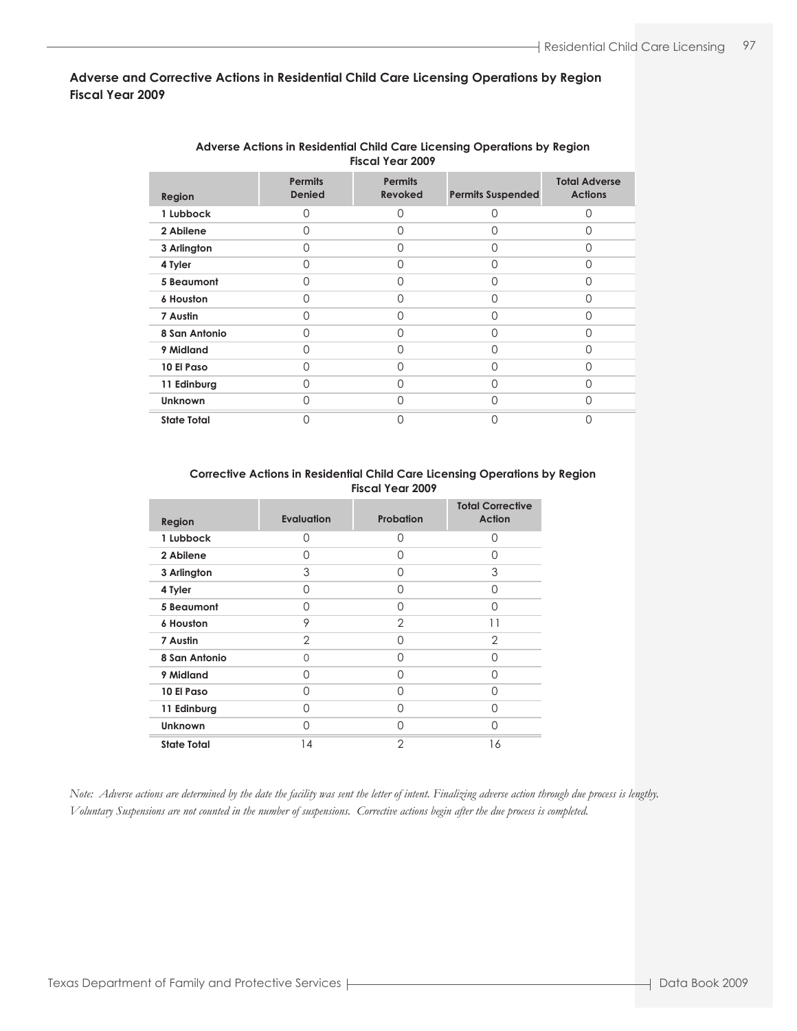### **Adverse and Corrective Actions in Residential Child Care Licensing Operations by Region Fiscal Year 2009**

| Fiscal Year 2009   |                                 |                                  |                          |                                        |  |
|--------------------|---------------------------------|----------------------------------|--------------------------|----------------------------------------|--|
| Region             | <b>Permits</b><br><b>Denied</b> | <b>Permits</b><br><b>Revoked</b> | <b>Permits Suspended</b> | <b>Total Adverse</b><br><b>Actions</b> |  |
| 1 Lubbock          | Λ                               | 0                                | Ω                        | Ω                                      |  |
| 2 Abilene          | 0                               | 0                                | $\Omega$                 | 0                                      |  |
| 3 Arlington        | 0                               | 0                                | ∩                        | 0                                      |  |
| 4 Tyler            | Ω                               | 0                                | ∩                        | 0                                      |  |
| 5 Beaumont         | 0                               | 0                                | $\Omega$                 | 0                                      |  |
| 6 Houston          | Ω                               | 0                                | ∩                        | 0                                      |  |
| 7 Austin           | Ω                               | 0                                | ∩                        | 0                                      |  |
| 8 San Antonio      | 0                               | 0                                | ∩                        | 0                                      |  |
| 9 Midland          | 0                               | $\Omega$                         | ∩                        | 0                                      |  |
| 10 El Paso         | Ω                               | 0                                | $\Omega$                 | 0                                      |  |
| 11 Edinburg        | 0                               | $\Omega$                         | $\Omega$                 | 0                                      |  |
| <b>Unknown</b>     | Ω                               | 0                                | ∩                        | 0                                      |  |
| <b>State Total</b> | 0                               | Ω                                | ∩                        | Ω                                      |  |

# **Adverse Actions in Residential Child Care Licensing Operations by Region**

#### **Corrective Actions in Residential Child Care Licensing Operations by Region Fiscal Year 2009**

| Region             | <b>Evaluation</b> | Probation      | <b>Total Corrective</b><br><b>Action</b> |
|--------------------|-------------------|----------------|------------------------------------------|
| 1 Lubbock          | ∩                 | ∩              | O                                        |
| 2 Abilene          | ∩                 | 0              | ∩                                        |
| 3 Arlington        | 3                 | Λ              | 3                                        |
| 4 Tyler            | O                 | 0              | $\Omega$                                 |
| 5 Beaumont         | O                 | O              | $\Omega$                                 |
| 6 Houston          | 9                 | $\mathfrak{D}$ | 11                                       |
| 7 Austin           | 2                 | 0              | $\mathcal{P}$                            |
| 8 San Antonio      | $\Omega$          | 0              | $\Omega$                                 |
| 9 Midland          | ∩                 | ∩              | ∩                                        |
| 10 El Paso         | O                 | 0              | ∩                                        |
| 11 Edinburg        | ∩                 | Λ              | ∩                                        |
| Unknown            | ∩                 | Λ              | ∩                                        |
| <b>State Total</b> | 14                | 2              | 16                                       |

*Note: Adverse actions are determined by the date the facility was sent the letter of intent. Finalizing adverse action through due process is lengthy. Voluntary Suspensions are not counted in the number of suspensions. Corrective actions begin after the due process is completed.*